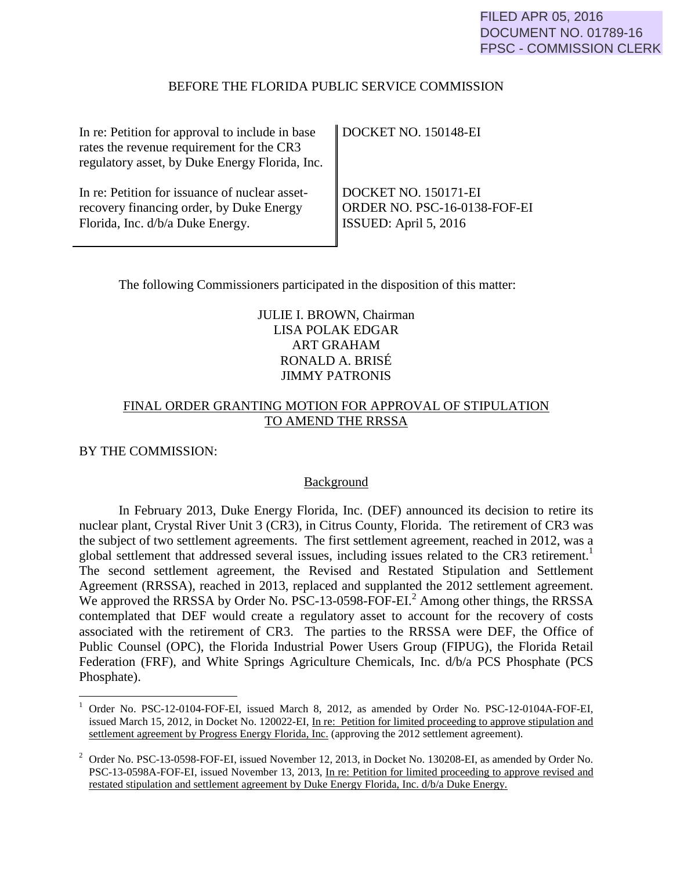#### BEFORE THE FLORIDA PUBLIC SERVICE COMMISSION

| In re: Petition for approval to include in base<br>rates the revenue requirement for the CR3<br>regulatory asset, by Duke Energy Florida, Inc. | DOCKET NO. 150148-EI         |
|------------------------------------------------------------------------------------------------------------------------------------------------|------------------------------|
| In re: Petition for issuance of nuclear asset-                                                                                                 | DOCKET NO. 150171-EI         |
| recovery financing order, by Duke Energy                                                                                                       | ORDER NO. PSC-16-0138-FOF-EI |
| Florida, Inc. d/b/a Duke Energy.                                                                                                               | ISSUED: April 5, 2016        |

The following Commissioners participated in the disposition of this matter:

# JULIE I. BROWN, Chairman LISA POLAK EDGAR ART GRAHAM RONALD A. BRISÉ JIMMY PATRONIS

# FINAL ORDER GRANTING MOTION FOR APPROVAL OF STIPULATION TO AMEND THE RRSSA

## BY THE COMMISSION:

 $\overline{a}$ 

## **Background**

 In February 2013, Duke Energy Florida, Inc. (DEF) announced its decision to retire its nuclear plant, Crystal River Unit 3 (CR3), in Citrus County, Florida. The retirement of CR3 was the subject of two settlement agreements. The first settlement agreement, reached in 2012, was a global settlement that addressed several issues, including issues related to the CR3 retirement.<sup>1</sup> The second settlement agreement, the Revised and Restated Stipulation and Settlement Agreement (RRSSA), reached in 2013, replaced and supplanted the 2012 settlement agreement. We approved the RRSSA by Order No. PSC-13-0598-FOF-EI.<sup>2</sup> Among other things, the RRSSA contemplated that DEF would create a regulatory asset to account for the recovery of costs associated with the retirement of CR3. The parties to the RRSSA were DEF, the Office of Public Counsel (OPC), the Florida Industrial Power Users Group (FIPUG), the Florida Retail Federation (FRF), and White Springs Agriculture Chemicals, Inc. d/b/a PCS Phosphate (PCS Phosphate).

<sup>1</sup> Order No. PSC-12-0104-FOF-EI, issued March 8, 2012, as amended by Order No. PSC-12-0104A-FOF-EI, issued March 15, 2012, in Docket No. 120022-EI, In re: Petition for limited proceeding to approve stipulation and settlement agreement by Progress Energy Florida, Inc. (approving the 2012 settlement agreement).

<sup>&</sup>lt;sup>2</sup> Order No. PSC-13-0598-FOF-EI, issued November 12, 2013, in Docket No. 130208-EI, as amended by Order No. PSC-13-0598A-FOF-EI, issued November 13, 2013, In re: Petition for limited proceeding to approve revised and restated stipulation and settlement agreement by Duke Energy Florida, Inc. d/b/a Duke Energy.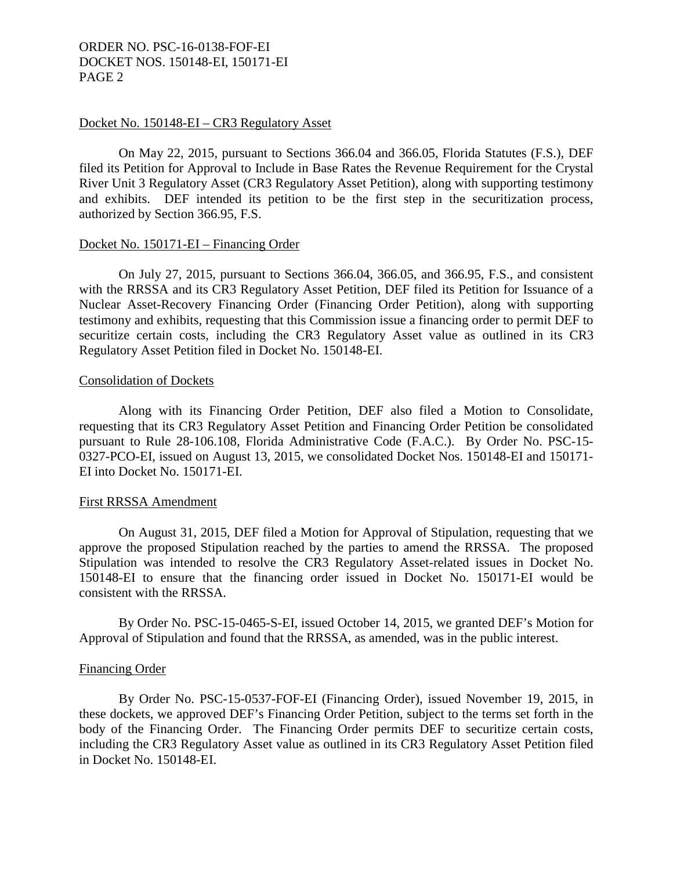#### Docket No. 150148-EI – CR3 Regulatory Asset

 On May 22, 2015, pursuant to Sections 366.04 and 366.05, Florida Statutes (F.S.), DEF filed its Petition for Approval to Include in Base Rates the Revenue Requirement for the Crystal River Unit 3 Regulatory Asset (CR3 Regulatory Asset Petition), along with supporting testimony and exhibits. DEF intended its petition to be the first step in the securitization process, authorized by Section 366.95, F.S.

#### Docket No. 150171-EI – Financing Order

 On July 27, 2015, pursuant to Sections 366.04, 366.05, and 366.95, F.S., and consistent with the RRSSA and its CR3 Regulatory Asset Petition, DEF filed its Petition for Issuance of a Nuclear Asset-Recovery Financing Order (Financing Order Petition), along with supporting testimony and exhibits, requesting that this Commission issue a financing order to permit DEF to securitize certain costs, including the CR3 Regulatory Asset value as outlined in its CR3 Regulatory Asset Petition filed in Docket No. 150148-EI.

#### Consolidation of Dockets

 Along with its Financing Order Petition, DEF also filed a Motion to Consolidate, requesting that its CR3 Regulatory Asset Petition and Financing Order Petition be consolidated pursuant to Rule 28-106.108, Florida Administrative Code (F.A.C.). By Order No. PSC-15- 0327-PCO-EI, issued on August 13, 2015, we consolidated Docket Nos. 150148-EI and 150171- EI into Docket No. 150171-EI.

#### First RRSSA Amendment

 On August 31, 2015, DEF filed a Motion for Approval of Stipulation, requesting that we approve the proposed Stipulation reached by the parties to amend the RRSSA. The proposed Stipulation was intended to resolve the CR3 Regulatory Asset-related issues in Docket No. 150148-EI to ensure that the financing order issued in Docket No. 150171-EI would be consistent with the RRSSA.

 By Order No. PSC-15-0465-S-EI, issued October 14, 2015, we granted DEF's Motion for Approval of Stipulation and found that the RRSSA, as amended, was in the public interest.

#### Financing Order

 By Order No. PSC-15-0537-FOF-EI (Financing Order), issued November 19, 2015, in these dockets, we approved DEF's Financing Order Petition, subject to the terms set forth in the body of the Financing Order. The Financing Order permits DEF to securitize certain costs, including the CR3 Regulatory Asset value as outlined in its CR3 Regulatory Asset Petition filed in Docket No. 150148-EI.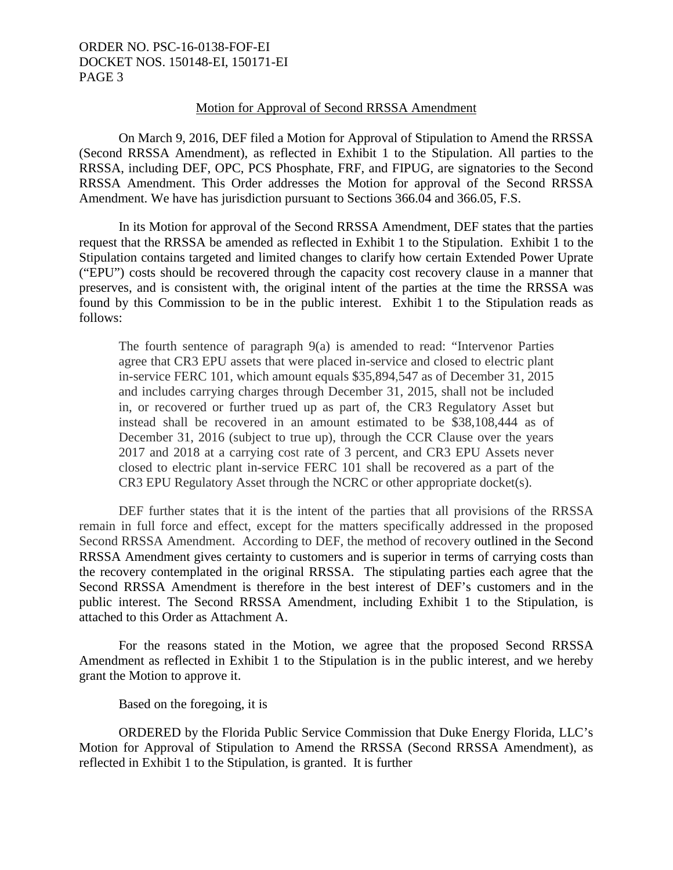#### Motion for Approval of Second RRSSA Amendment

 On March 9, 2016, DEF filed a Motion for Approval of Stipulation to Amend the RRSSA (Second RRSSA Amendment), as reflected in Exhibit 1 to the Stipulation. All parties to the RRSSA, including DEF, OPC, PCS Phosphate, FRF, and FIPUG, are signatories to the Second RRSSA Amendment. This Order addresses the Motion for approval of the Second RRSSA Amendment. We have has jurisdiction pursuant to Sections 366.04 and 366.05, F.S.

 In its Motion for approval of the Second RRSSA Amendment, DEF states that the parties request that the RRSSA be amended as reflected in Exhibit 1 to the Stipulation. Exhibit 1 to the Stipulation contains targeted and limited changes to clarify how certain Extended Power Uprate ("EPU") costs should be recovered through the capacity cost recovery clause in a manner that preserves, and is consistent with, the original intent of the parties at the time the RRSSA was found by this Commission to be in the public interest. Exhibit 1 to the Stipulation reads as follows:

The fourth sentence of paragraph 9(a) is amended to read: "Intervenor Parties agree that CR3 EPU assets that were placed in-service and closed to electric plant in-service FERC 101, which amount equals \$35,894,547 as of December 31, 2015 and includes carrying charges through December 31, 2015, shall not be included in, or recovered or further trued up as part of, the CR3 Regulatory Asset but instead shall be recovered in an amount estimated to be \$38,108,444 as of December 31, 2016 (subject to true up), through the CCR Clause over the years 2017 and 2018 at a carrying cost rate of 3 percent, and CR3 EPU Assets never closed to electric plant in-service FERC 101 shall be recovered as a part of the CR3 EPU Regulatory Asset through the NCRC or other appropriate docket(s).

 DEF further states that it is the intent of the parties that all provisions of the RRSSA remain in full force and effect, except for the matters specifically addressed in the proposed Second RRSSA Amendment. According to DEF, the method of recovery outlined in the Second RRSSA Amendment gives certainty to customers and is superior in terms of carrying costs than the recovery contemplated in the original RRSSA. The stipulating parties each agree that the Second RRSSA Amendment is therefore in the best interest of DEF's customers and in the public interest. The Second RRSSA Amendment, including Exhibit 1 to the Stipulation, is attached to this Order as Attachment A.

 For the reasons stated in the Motion, we agree that the proposed Second RRSSA Amendment as reflected in Exhibit 1 to the Stipulation is in the public interest, and we hereby grant the Motion to approve it.

Based on the foregoing, it is

 ORDERED by the Florida Public Service Commission that Duke Energy Florida, LLC's Motion for Approval of Stipulation to Amend the RRSSA (Second RRSSA Amendment), as reflected in Exhibit 1 to the Stipulation, is granted. It is further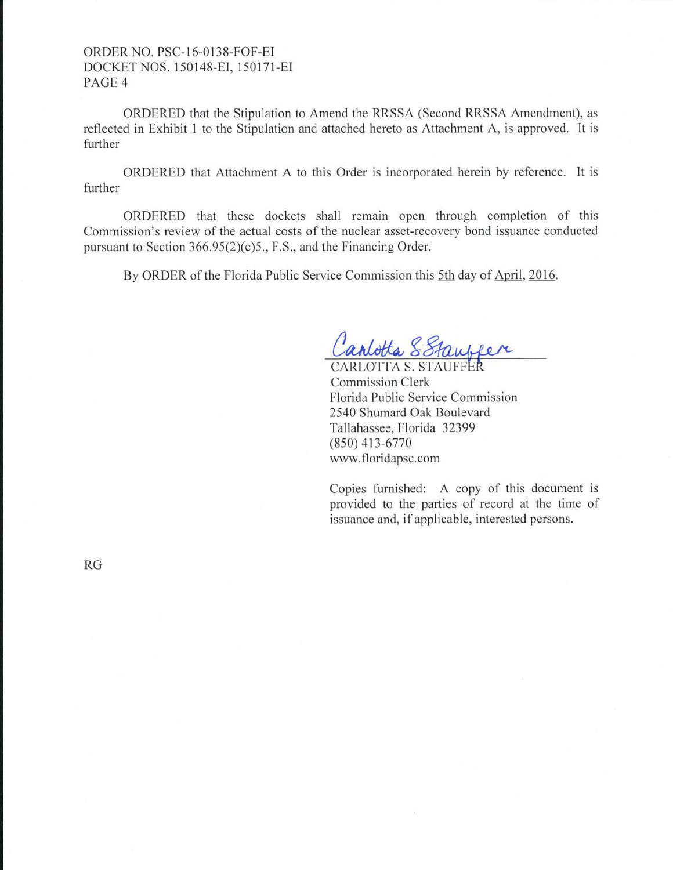# ORDER NO. PSC-16-0138-FOF-El DOCKETNOS. 150148-EI, 150171-EI PAGE<sub>4</sub>

ORDERED that the Stipulation to Amend the RRSSA (Second RRSSA Amendment), as reflected in Exhibit 1 to the Stipulation and attached hereto as Attachment A, is approved. It is further

ORDERED that Attachment A to this Order is incorporated herein by reference. It is further

ORDERED that these dockets shall remain open through completion of this Commission's review of the actual costs of the nuclear asset-recovery bond issuance conducted pursuant to Section 366.95(2)(c)5., F.S., and the Financing Order.

By ORDER of the Florida Public Service Commission this 5th day of April, 2016.

Canlotta SStaupper

**CARLOTTA S. STAUFFER** Commission Clerk Florida Public Service Commission 2540 Shumard Oak Boulevard Tallahassee, Florida 32399 (850) 413-6770 www. floridapsc.com

Copies furnished: A copy of this document is provided to the parties of record at the time of issuance and, if applicable, interested persons.

RG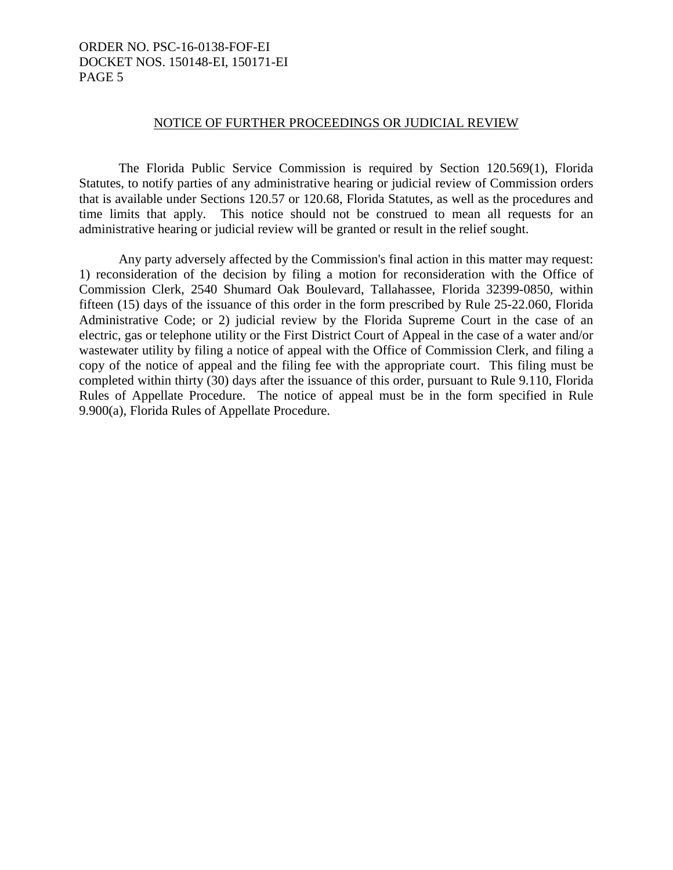#### NOTICE OF FURTHER PROCEEDINGS OR JUDICIAL REVIEW

 The Florida Public Service Commission is required by Section 120.569(1), Florida Statutes, to notify parties of any administrative hearing or judicial review of Commission orders that is available under Sections 120.57 or 120.68, Florida Statutes, as well as the procedures and time limits that apply. This notice should not be construed to mean all requests for an administrative hearing or judicial review will be granted or result in the relief sought.

 Any party adversely affected by the Commission's final action in this matter may request: 1) reconsideration of the decision by filing a motion for reconsideration with the Office of Commission Clerk, 2540 Shumard Oak Boulevard, Tallahassee, Florida 32399-0850, within fifteen (15) days of the issuance of this order in the form prescribed by Rule 25-22.060, Florida Administrative Code; or 2) judicial review by the Florida Supreme Court in the case of an electric, gas or telephone utility or the First District Court of Appeal in the case of a water and/or wastewater utility by filing a notice of appeal with the Office of Commission Clerk, and filing a copy of the notice of appeal and the filing fee with the appropriate court. This filing must be completed within thirty (30) days after the issuance of this order, pursuant to Rule 9.110, Florida Rules of Appellate Procedure. The notice of appeal must be in the form specified in Rule 9.900(a), Florida Rules of Appellate Procedure.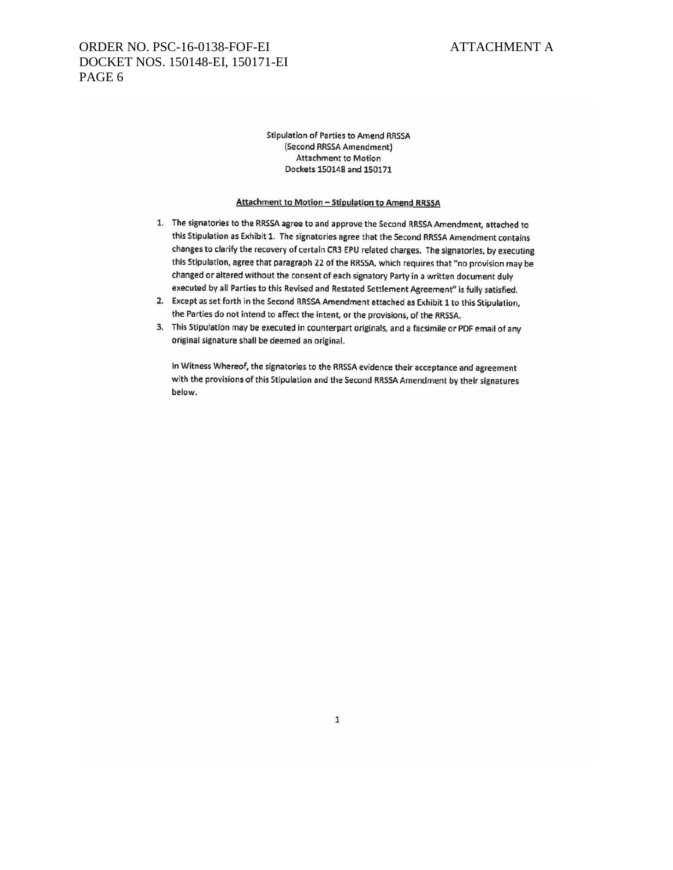Stipulation of Parties to Amend RRSSA (Second RRSSA Amendment) Attachment to Motion Dockets 150148 and 150171

#### Attachment to Motion - Stipulation to Amend RRSSA

- 1. The signatories to the RRSSA agree to and approve the Second RRSSA Amendment, attached to this Stipulation as Exhibit 1. The signatories agree that the Second RRSSA Amendment contains changes to clarify the recovery of certain CR3 EPU related charges. The signatories, by executing this Stipulation, agree that paragraph 22 of the RRSSA, which requires that "no provision may be changed or altered without the consent of each signatory Party in a written document duly executed by all Parties to this Revised and Restated Settlement Agreement" is fully satisfied.
- 2. Except as set forth in the Second RRSSA Amendment attached as Exhibit 1 to this Stipulation, the Parties do not intend to affect the intent, or the provisions, of the RRSSA.
- 3. This Stipulation may be executed in counterpart originals, and a facsimile or PDF email of any original signature shall be deemed an original.

In Witness Whereof, the signatories to the RRSSA evidence their acceptance and agreement with the provisions of this Stipulation and the Second RRSSA Amendment by their signatures below.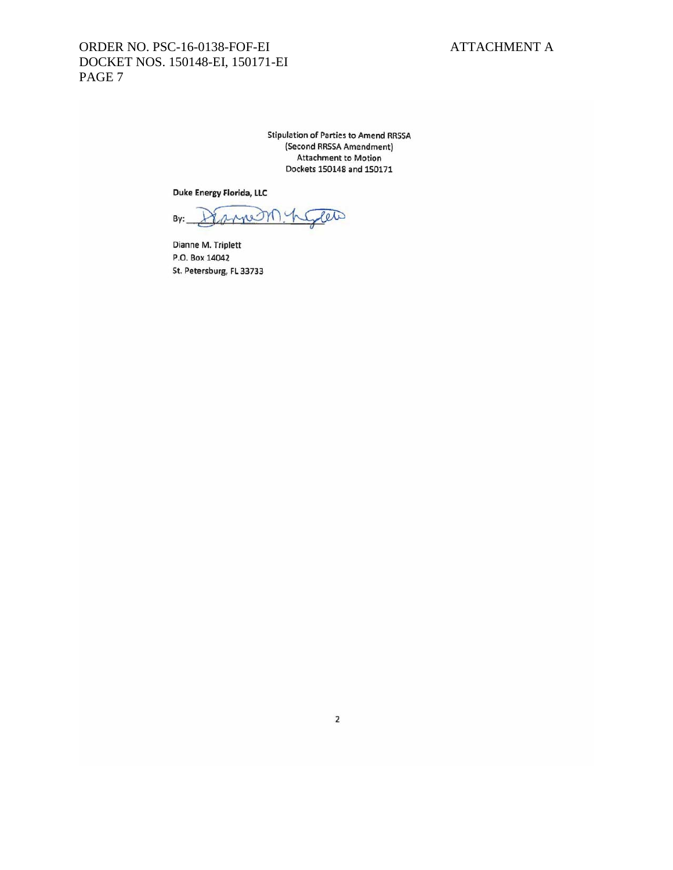Stipulation of Parties to Amend RRSSA (Second RRSSA Amendment) Attachment to Motion Dockets 150148 and 1S0171

Duke Energy Florida, LlC

ar By: anne <sup>~</sup>

Dianne M. Triplett P.O. Box 14042 St. Petersburg, FL 33733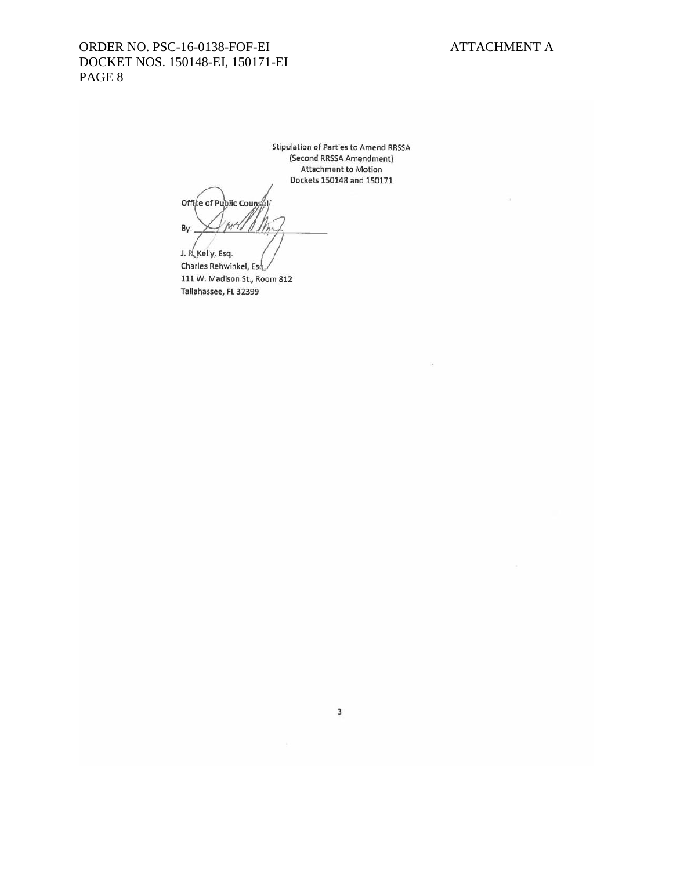Stipulation of Parties to Amend RR5SA (Second RRSSA Amendment) Attachment to Motion Dockets 150148 and 150171

Office of Public Counsel By: WA

J. R. Kelly, Esq. Charles Rehwinkel, Es 111 W. Madison St., Room 812 Tallahassee, FL 32399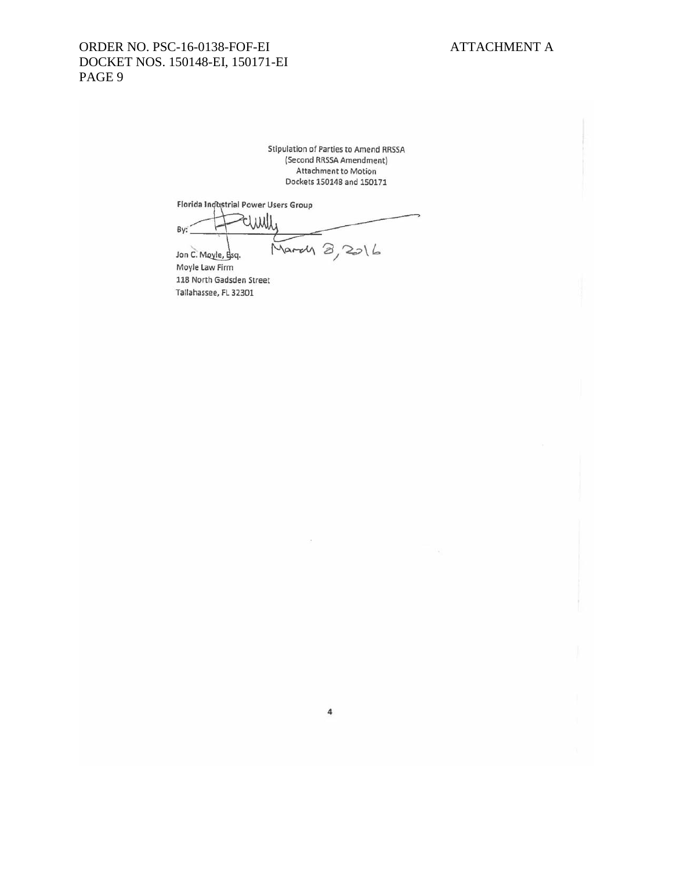Stipulation of Parties to Amend RRSSA (Second RRSSA Amendment) Attachment to Motion Dockets 150148 and 1S0171

Florida Industrial Power Users Group

Elmill By: March 8, 2016 Jon C. Moyle, Bsq.

Moyle law Firm 118 North Gadsden Street Tallahassee, FL32301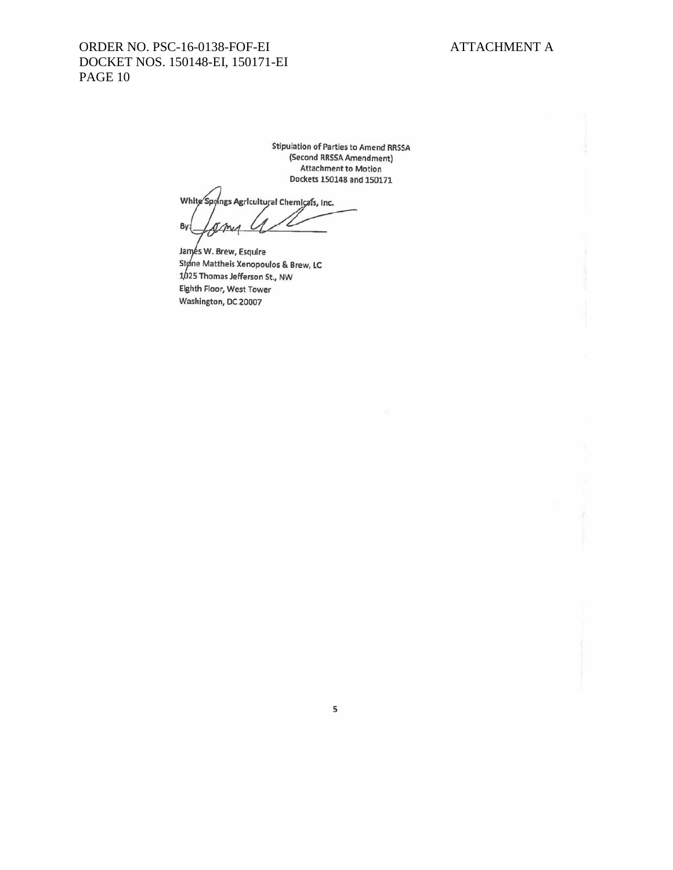Stipulation of Parties to Amend RRSSA (Second RRSSA Amendment) Attachment to Motion Dockets 150148 and 150171

White Spyings Agricultural Chemicals, Inc. By: **JAnes** 

Janyes W. Brew, Esquire Støne Mattheis Xenopoulos & Brew, LC 25 Thomas Jefferson St., NW Eighth Floor, West Tower Washington, DC 20007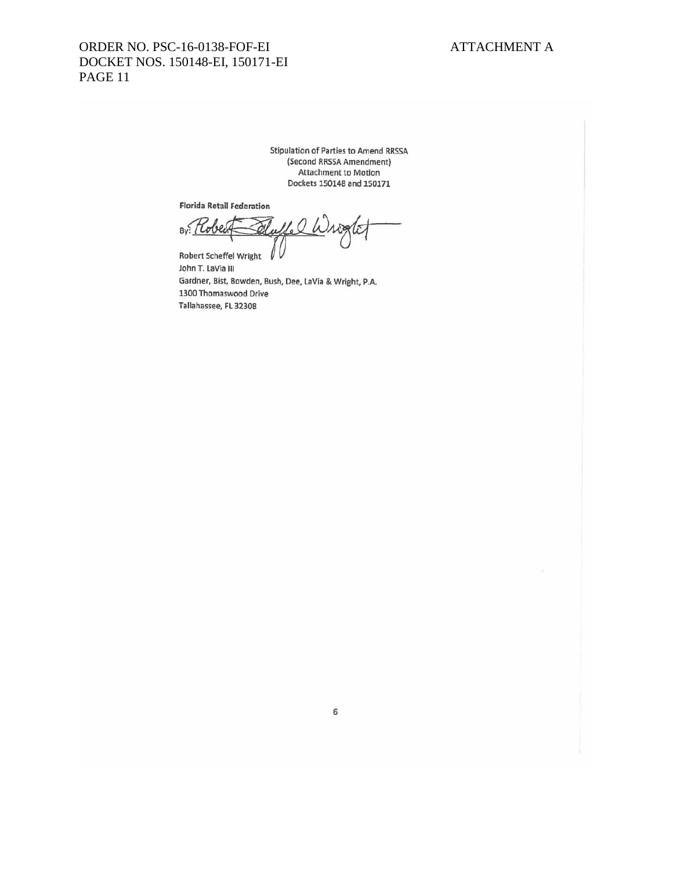Stipulation of Parties to Amend RRSSA (Second RRSSA Amendment) Attachment to Motion Dockets 150148 and 150171

Florida Retail Federation

By: Rober 11. Q Write I

Robert Scheffel Wright John T. LaVia III Gardner, Sist, Bowden, Bush, Dee, LaVia & Wright, P.A. 1300 Thomaswood Drive Tallahassee, FL 32308